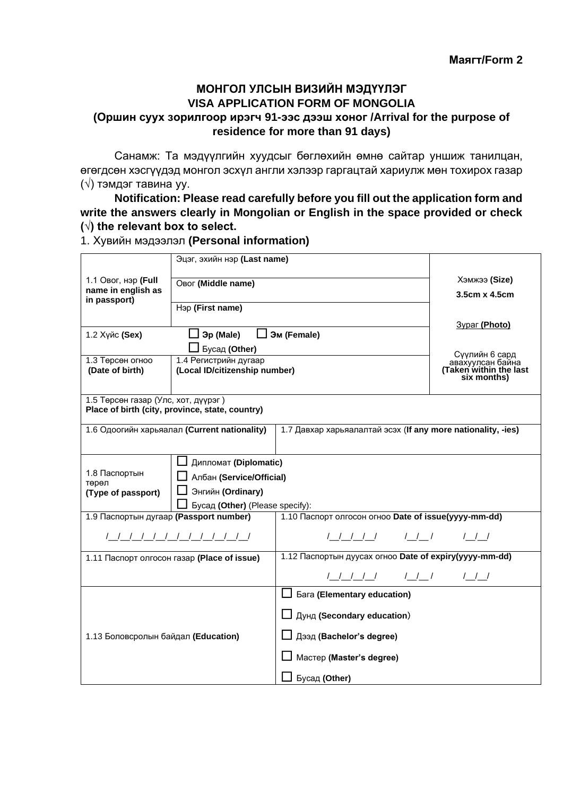## **МОНГОЛ УЛСЫН ВИЗИЙН МЭДҮҮЛЭГ VISA APPLICATION FORM OF MONGOLIA (Оршин суух зорилгоор ирэгч 91-ээс дээш хоног /Arrival for the purpose of residence for more than 91 days)**

Санамж: Та мэдүүлгийн хуудсыг бөглөхийн өмнө сайтар уншиж танилцан, өгөгдсөн хэсгүүдэд монгол эсхүл англи хэлээр гаргацтай хариулж мөн тохирох газар (√) тэмдэг тавина уу.

**Notification: Please read carefully before you fill out the application form and write the answers clearly in Mongolian or English in the space provided or check (√) the relevant box to select.** 

1. Хувийн мэдээлэл **(Personal information)**

| Эцэг, эхийн нэр (Last name)              |                                                 |                                                              |                                    |  |
|------------------------------------------|-------------------------------------------------|--------------------------------------------------------------|------------------------------------|--|
| 1.1 Овог, нэр (Full                      |                                                 |                                                              | Хэмжээ (Size)                      |  |
| Овог (Middle name)<br>name in english as |                                                 |                                                              | 3.5cm x 4.5cm                      |  |
| in passport)                             | Нэр (First name)                                |                                                              |                                    |  |
|                                          |                                                 |                                                              |                                    |  |
| 1.2 Хүйс (Sex)                           | <b>□ Эр (Male)</b>                              | ■ Эм (Female)                                                | <b>3ypar (Photo)</b>               |  |
|                                          | Бусад (Other)                                   |                                                              |                                    |  |
| 1.3 Төрсөн огноо                         | 1.4 Регистрийн дугаар                           |                                                              | Сүүлийн 6 сард<br>авахуулсан байна |  |
| (Date of birth)                          | (Local ID/citizenship number)                   |                                                              | (Taken within the last             |  |
|                                          |                                                 |                                                              | six months)                        |  |
| 1.5 Төрсөн газар (Улс, хот, дүүрэг)      |                                                 |                                                              |                                    |  |
|                                          | Place of birth (city, province, state, country) |                                                              |                                    |  |
|                                          | 1.6 Одоогийн харьяалал (Current nationality)    | 1.7 Давхар харьяалалтай эсэх (If any more nationality, -ies) |                                    |  |
|                                          |                                                 |                                                              |                                    |  |
|                                          |                                                 |                                                              |                                    |  |
| 1.8 Паспортын                            | □ Дипломат (Diplomatic)                         |                                                              |                                    |  |
| төрөл                                    | Албан (Service/Official)                        |                                                              |                                    |  |
| Энгийн (Ordinary)<br>(Type of passport)  |                                                 |                                                              |                                    |  |
| Бусад (Other) (Please specify):          |                                                 |                                                              |                                    |  |
| 1.9 Паспортын дугаар (Passport number)   |                                                 | 1.10 Паспорт олгосон огноо Date of issue(уууу-mm-dd)         |                                    |  |
| 1 1 1 1 1 1 1 1 1 1 1 1 1                |                                                 |                                                              |                                    |  |
|                                          | 1.11 Паспорт олгосон газар (Place of issue)     | 1.12 Паспортын дуусах огноо Date of expiry(уууу-mm-dd)       |                                    |  |
|                                          |                                                 |                                                              |                                    |  |
|                                          |                                                 | $\Box$ Бага (Elementary education)                           |                                    |  |
|                                          |                                                 | Дунд (Secondary education)                                   |                                    |  |
| 1.13 Боловсролын байдал (Education)      |                                                 | Дээд (Bachelor's degree)                                     |                                    |  |
|                                          |                                                 | Мастер (Master's degree)                                     |                                    |  |
|                                          |                                                 |                                                              |                                    |  |
|                                          |                                                 | Бусад (Other)                                                |                                    |  |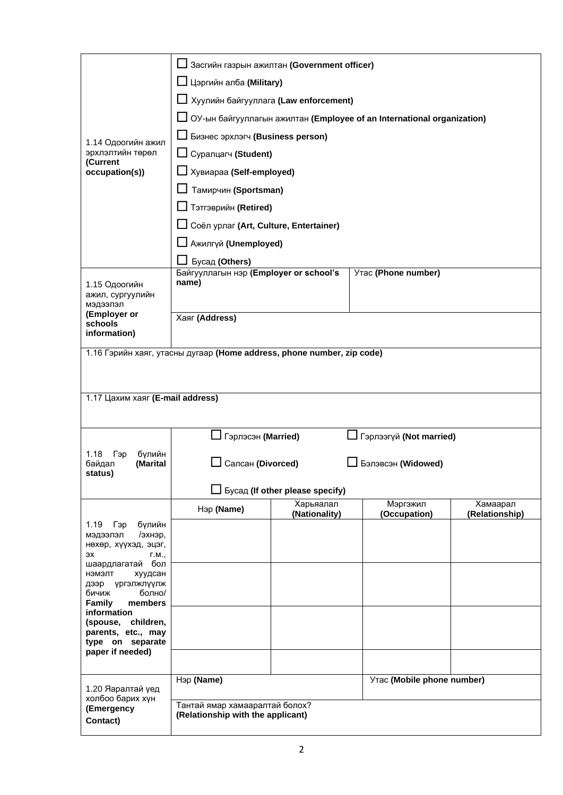|                                                                      | Засгийн газрын ажилтан (Government officer)                            |                                 |                          |                            |
|----------------------------------------------------------------------|------------------------------------------------------------------------|---------------------------------|--------------------------|----------------------------|
| 1.14 Одоогийн ажил<br>эрхлэлтийн төрөл<br>(Current<br>occupation(s)) | $\Box$ Цэргийн алба (Military)                                         |                                 |                          |                            |
|                                                                      | <u> </u> Хуулийн байгууллага (Law enforcement)                         |                                 |                          |                            |
|                                                                      | ОУ-ын байгууллагын ажилтан (Employee of an International organization) |                                 |                          |                            |
|                                                                      | <b>L</b> Бизнес эрхлэгч (Business person)                              |                                 |                          |                            |
|                                                                      | Суралцагч (Student)                                                    |                                 |                          |                            |
|                                                                      | Хувиараа (Self-employed)                                               |                                 |                          |                            |
|                                                                      | Тамирчин (Sportsman)                                                   |                                 |                          |                            |
|                                                                      | П Тэтгэврийн (Retired)                                                 |                                 |                          |                            |
|                                                                      | □ Соёл урлаг (Art, Culture, Entertainer)                               |                                 |                          |                            |
|                                                                      | <b>L</b> Ажилгүй (Unemployed)                                          |                                 |                          |                            |
|                                                                      | Бусад (Others)                                                         |                                 |                          |                            |
| 1.15 Одоогийн                                                        | Байгууллагын нэр (Employer or school's<br>name)                        |                                 | Утас (Phone number)      |                            |
| ажил, сургуулийн                                                     |                                                                        |                                 |                          |                            |
| мэдээлэл<br>(Employer or                                             | Хаяг (Address)                                                         |                                 |                          |                            |
| schools<br>information)                                              |                                                                        |                                 |                          |                            |
|                                                                      | 1.16 Гэрийн хаяг, утасны дугаар (Home address, phone number, zip code) |                                 |                          |                            |
|                                                                      |                                                                        |                                 |                          |                            |
|                                                                      |                                                                        |                                 |                          |                            |
| 1.17 Цахим хаяг (E-mail address)                                     |                                                                        |                                 |                          |                            |
|                                                                      |                                                                        |                                 |                          |                            |
|                                                                      | Гэрлэсэн (Married)<br>∫ Гэрлээгүй (Not married)                        |                                 |                          |                            |
| Гэр<br>бүлийн<br>1.18<br>(Marital<br>байдал                          | Салсан (Divorced)<br>Бэлэвсэн (Widowed)                                |                                 |                          |                            |
| status)                                                              |                                                                        |                                 |                          |                            |
|                                                                      |                                                                        | Бусад (If other please specify) |                          |                            |
|                                                                      | Нэр (Name)                                                             | Харьяалал<br>(Nationality)      | Мэргэжил<br>(Occupation) | Хамаарал<br>(Relationship) |
| 1.19<br>бүлийн<br>Гэр<br>/эхнэр,<br>мэдээлэл                         |                                                                        |                                 |                          |                            |
| нөхөр, хүүхэд, эцэг,<br>эх<br>$\Gamma.M.,$                           |                                                                        |                                 |                          |                            |
| шаардлагатай бол<br>нэмэлт<br>хуудсан                                |                                                                        |                                 |                          |                            |
| үргэлжлүүлж<br>дээр                                                  |                                                                        |                                 |                          |                            |
| болно/<br>бичиж<br>Family<br>members                                 |                                                                        |                                 |                          |                            |
| information<br>(spouse,<br>children,                                 |                                                                        |                                 |                          |                            |
| parents, etc., may<br>type on separate                               |                                                                        |                                 |                          |                            |
| paper if needed)                                                     |                                                                        |                                 |                          |                            |
|                                                                      | Нэр (Name)                                                             |                                 |                          |                            |
| 1.20 Яаралтай үед<br>холбоо барих хүн                                | Утас (Mobile phone number)                                             |                                 |                          |                            |
| (Emergency                                                           | Тантай ямар хамааралтай болох?<br>(Relationship with the applicant)    |                                 |                          |                            |
| Contact)                                                             |                                                                        |                                 |                          |                            |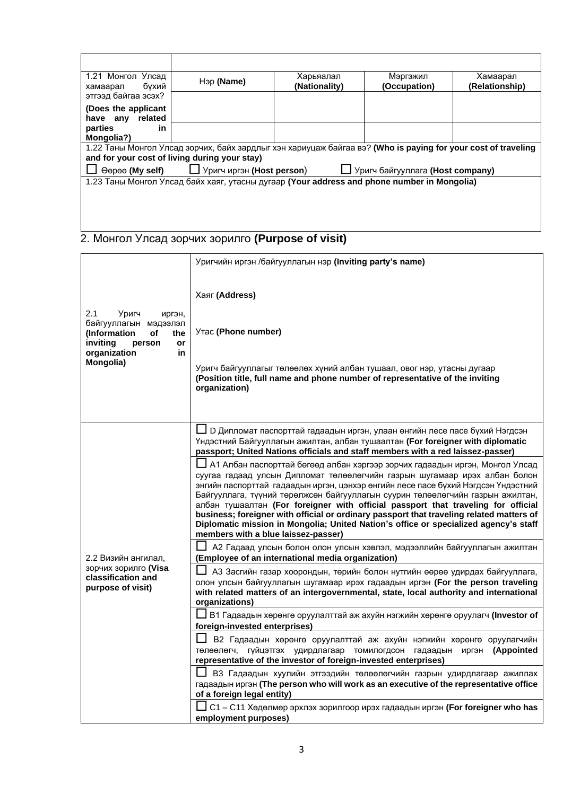| 1.21 Монгол Улсад<br>бухий<br>хамаарал                                                                        | Нэр (Name) | Харьяалал<br>(Nationality) | Мэргэжил<br>(Occupation) | Хамаарал<br>(Relationship) |
|---------------------------------------------------------------------------------------------------------------|------------|----------------------------|--------------------------|----------------------------|
| этгээд байгаа эсэх?                                                                                           |            |                            |                          |                            |
| (Does the applicant<br>related<br>anv<br>have                                                                 |            |                            |                          |                            |
| parties<br>in                                                                                                 |            |                            |                          |                            |
| Mongolia?)                                                                                                    |            |                            |                          |                            |
| 1.22 Таны Монгол Улсад зорчих, байх зардлыг хэн хариуцаж байгаа вэ? (Who is paying for your cost of traveling |            |                            |                          |                            |
| and for your cost of living during your stay)                                                                 |            |                            |                          |                            |
| $\Box$ Уригч иргэн (Host person)<br>∐ Уригч байгууллага (Host company)<br>Өөрөө (My self)                     |            |                            |                          |                            |
| 1.23 Таны Монгол Улсад байх хаяг, утасны дугаар (Your address and phone number in Mongolia)                   |            |                            |                          |                            |
|                                                                                                               |            |                            |                          |                            |
|                                                                                                               |            |                            |                          |                            |
|                                                                                                               |            |                            |                          |                            |

## 2. Монгол Улсад зорчих зорилго **(Purpose of visit)**

|                                                                                                                                             | Уригчийн иргэн /байгууллагын нэр (Inviting party's name)                                                                                                                                                                                                                                                                                                                                                                                                                                                                                                                                                                                                                                                                                                                                                                                                                                                                                                                                                                                                             |
|---------------------------------------------------------------------------------------------------------------------------------------------|----------------------------------------------------------------------------------------------------------------------------------------------------------------------------------------------------------------------------------------------------------------------------------------------------------------------------------------------------------------------------------------------------------------------------------------------------------------------------------------------------------------------------------------------------------------------------------------------------------------------------------------------------------------------------------------------------------------------------------------------------------------------------------------------------------------------------------------------------------------------------------------------------------------------------------------------------------------------------------------------------------------------------------------------------------------------|
| 2.1<br>Уригч<br>иргэн,<br>байгууллагын мэдээлэл<br>(Information<br>οf<br>the<br>inviting<br>person<br>or<br>organization<br>in<br>Mongolia) | Хаяг (Address)<br>Утас (Phone number)<br>Уригч байгууллагыг төлөөлөх хүний албан тушаал, овог нэр, утасны дугаар<br>(Position title, full name and phone number of representative of the inviting<br>organization)                                                                                                                                                                                                                                                                                                                                                                                                                                                                                                                                                                                                                                                                                                                                                                                                                                                   |
|                                                                                                                                             | ∐ D Дипломат паспорттай гадаадын иргэн, улаан өнгийн лесе пасе бүхий Нэгдсэн<br>Үндэстний Байгууллагын ажилтан, албан тушаалтан (For foreigner with diplomatic<br>passport; United Nations officials and staff members with a red laissez-passer)<br>А1 Албан паспорттай бөгөөд албан хэргээр зорчих гадаадын иргэн, Монгол Улсад<br>суугаа гадаад улсын Дипломат төлөөлөгчийн газрын шугамаар ирэх албан болон<br>энгийн паспорттай гадаадын иргэн, цэнхэр өнгийн лесе пасе бүхий Нэгдсэн Үндэстний<br>Байгууллага, түүний төрөлжсөн байгууллагын суурин төлөөлөгчийн газрын ажилтан,<br>албан тушаалтан (For foreigner with official passport that traveling for official<br>business; foreigner with official or ordinary passport that traveling related matters of<br>Diplomatic mission in Mongolia; United Nation's office or specialized agency's staff<br>members with a blue laissez-passer)                                                                                                                                                               |
| 2.2 Визийн ангилал.<br>зорчих зорилго <b>(Visa</b><br>classification and<br>purpose of visit)                                               | А2 Гадаад улсын болон олон улсын хэвлэл, мэдээллийн байгууллагын ажилтан<br>(Employee of an international media organization)<br>АЗ Засгийн газар хоорондын, төрийн болон нутгийн өөрөө удирдах байгууллага,<br>олон улсын байгууллагын шугамаар ирэх гадаадын иргэн (For the person traveling<br>with related matters of an intergovernmental, state, local authority and international<br>organizations)<br>В1 Гадаадын хөрөнгө оруулалттай аж ахуйн нэгжийн хөрөнгө оруулагч (Investor of<br>foreign-invested enterprises)<br>В2 Гадаадын хөрөнгө оруулалттай аж ахуйн нэгжийн хөрөнгө оруулагчийн<br>төлөөлөгч, гүйцэтгэх удирдлагаар томилогдсон<br>(Appointed<br>гадаадын<br>иргэн<br>representative of the investor of foreign-invested enterprises)<br>ВЗ Гадаадын хуулийн этгээдийн төлөөлөгчийн газрын удирдлагаар ажиллах<br>гадаадын иргэн (The person who will work as an executive of the representative office<br>of a foreign legal entity)<br>С1 - С11 Хөдөлмөр эрхлэх зорилгоор ирэх гадаадын иргэн (For foreigner who has<br>employment purposes) |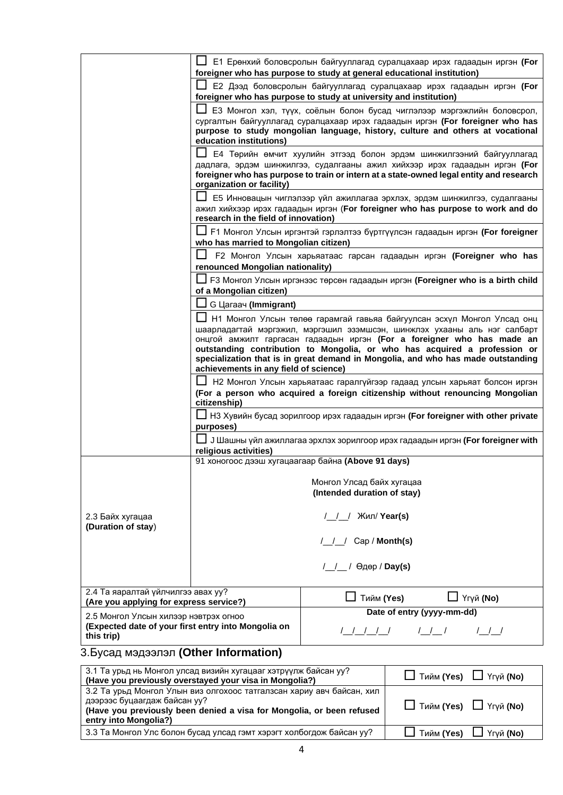|                                                                                                                                                                                                                                                                                                                                                              |                                                                                                                                                                            | $\Box$ E1 Ерөнхий боловсролын байгууллагад суралцахаар ирэх гадаадын иргэн <b>(For</b><br>foreigner who has purpose to study at general educational institution)                                                                              |  |  |
|--------------------------------------------------------------------------------------------------------------------------------------------------------------------------------------------------------------------------------------------------------------------------------------------------------------------------------------------------------------|----------------------------------------------------------------------------------------------------------------------------------------------------------------------------|-----------------------------------------------------------------------------------------------------------------------------------------------------------------------------------------------------------------------------------------------|--|--|
|                                                                                                                                                                                                                                                                                                                                                              | Е2 Дээд боловсролын байгууллагад суралцахаар ирэх гадаадын иргэн (For<br>foreigner who has purpose to study at university and institution)                                 |                                                                                                                                                                                                                                               |  |  |
|                                                                                                                                                                                                                                                                                                                                                              |                                                                                                                                                                            | ЕЗ Монгол хэл, түүх, соёлын болон бусад чиглэлээр мэргэжлийн боловсрол,                                                                                                                                                                       |  |  |
|                                                                                                                                                                                                                                                                                                                                                              |                                                                                                                                                                            | сургалтын байгууллагад суралцахаар ирэх гадаадын иргэн (For foreigner who has<br>purpose to study mongolian language, history, culture and others at vocational                                                                               |  |  |
|                                                                                                                                                                                                                                                                                                                                                              | education institutions)                                                                                                                                                    |                                                                                                                                                                                                                                               |  |  |
|                                                                                                                                                                                                                                                                                                                                                              | organization or facility)                                                                                                                                                  | Е4 Төрийн өмчит хуулийн этгээд болон эрдэм шинжилгээний байгууллагад<br>дадлага, эрдэм шинжилгээ, судалгааны ажил хийхээр ирэх гадаадын иргэн (For<br>foreigner who has purpose to train or intern at a state-owned legal entity and research |  |  |
|                                                                                                                                                                                                                                                                                                                                                              | Е5 Инновацын чиглэлээр үйл ажиллагаа эрхлэх, эрдэм шинжилгээ, судалгааны<br>ажил хийхээр ирэх гадаадын иргэн (For foreigner who has purpose to work and do                 |                                                                                                                                                                                                                                               |  |  |
|                                                                                                                                                                                                                                                                                                                                                              | research in the field of innovation)                                                                                                                                       |                                                                                                                                                                                                                                               |  |  |
|                                                                                                                                                                                                                                                                                                                                                              | who has married to Mongolian citizen)                                                                                                                                      | ∐ F1 Монгол Улсын иргэнтэй гэрлэлтээ бүртгүүлсэн гадаадын иргэн <b>(For foreigner</b>                                                                                                                                                         |  |  |
|                                                                                                                                                                                                                                                                                                                                                              | renounced Mongolian nationality)                                                                                                                                           | F2 Монгол Улсын харьяатаас гарсан гадаадын иргэн (Foreigner who has                                                                                                                                                                           |  |  |
| F3 Монгол Улсын иргэнээс төрсөн гадаадын иргэн (Foreigner who is a birth child                                                                                                                                                                                                                                                                               |                                                                                                                                                                            |                                                                                                                                                                                                                                               |  |  |
|                                                                                                                                                                                                                                                                                                                                                              | of a Mongolian citizen)                                                                                                                                                    |                                                                                                                                                                                                                                               |  |  |
|                                                                                                                                                                                                                                                                                                                                                              | G Laraay (Immigrant)                                                                                                                                                       |                                                                                                                                                                                                                                               |  |  |
| Н1 Монгол Улсын төлөө гарамгай гавьяа байгуулсан эсхүл Монгол Улсад онц                                                                                                                                                                                                                                                                                      |                                                                                                                                                                            |                                                                                                                                                                                                                                               |  |  |
| шаарладагтай мэргэжил, мэргэшил эзэмшсэн, шинжлэх ухааны аль нэг салбарт<br>онцгой амжилт гаргасан гадаадын иргэн (For a foreigner who has made an<br>outstanding contribution to Mongolia, or who has acquired a profession or<br>specialization that is in great demand in Mongolia, and who has made outstanding<br>achievements in any field of science) |                                                                                                                                                                            |                                                                                                                                                                                                                                               |  |  |
|                                                                                                                                                                                                                                                                                                                                                              | Н2 Монгол Улсын харьяатаас гаралгүйгээр гадаад улсын харьяат болсон иргэн<br>(For a person who acquired a foreign citizenship without renouncing Mongolian<br>citizenship) |                                                                                                                                                                                                                                               |  |  |
|                                                                                                                                                                                                                                                                                                                                                              |                                                                                                                                                                            |                                                                                                                                                                                                                                               |  |  |
|                                                                                                                                                                                                                                                                                                                                                              | purposes)                                                                                                                                                                  | НЗ Хувийн бусад зорилгоор ирэх гадаадын иргэн (For foreigner with other private                                                                                                                                                               |  |  |
|                                                                                                                                                                                                                                                                                                                                                              | J Шашны үйл ажиллагаа эрхлэх зорилгоор ирэх гадаадын иргэн (For foreigner with<br>religious activities)                                                                    |                                                                                                                                                                                                                                               |  |  |
|                                                                                                                                                                                                                                                                                                                                                              |                                                                                                                                                                            | 91 хоногоос дээш хугацаагаар байна (Above 91 days)                                                                                                                                                                                            |  |  |
|                                                                                                                                                                                                                                                                                                                                                              |                                                                                                                                                                            |                                                                                                                                                                                                                                               |  |  |
|                                                                                                                                                                                                                                                                                                                                                              | Монгол Улсад байх хугацаа<br>(Intended duration of stay)                                                                                                                   |                                                                                                                                                                                                                                               |  |  |
|                                                                                                                                                                                                                                                                                                                                                              |                                                                                                                                                                            |                                                                                                                                                                                                                                               |  |  |
| 2.3 Байх хугацаа<br>(Duration of stay)                                                                                                                                                                                                                                                                                                                       | / / Жил/ Year(s)                                                                                                                                                           |                                                                                                                                                                                                                                               |  |  |
|                                                                                                                                                                                                                                                                                                                                                              | / / Cap / Month(s)                                                                                                                                                         |                                                                                                                                                                                                                                               |  |  |
|                                                                                                                                                                                                                                                                                                                                                              |                                                                                                                                                                            | / / / Өдөр / Day(s)                                                                                                                                                                                                                           |  |  |
| 2.4 Та яаралтай үйлчилгээ авах уу?<br>(Are you applying for express service?)                                                                                                                                                                                                                                                                                |                                                                                                                                                                            | ∐ Үгүй (No)<br>∐ Тийм (Yes)                                                                                                                                                                                                                   |  |  |
| 2.5 Монгол Улсын хилээр нэвтрэх огноо                                                                                                                                                                                                                                                                                                                        |                                                                                                                                                                            | Date of entry (yyyy-mm-dd)                                                                                                                                                                                                                    |  |  |
| (Expected date of your first entry into Mongolia on<br>this trip)                                                                                                                                                                                                                                                                                            |                                                                                                                                                                            | <u>         </u><br>$/$ $/$ $/$<br>$/$ $/$ $/$                                                                                                                                                                                                |  |  |

## 3.Бусад мэдээлэл **(Other Information)**

| 3.1 Та урьд нь Монгол улсад визийн хугацааг хэтрүүлж байсан уу?<br>(Have you previously overstayed your visa in Mongolia?)                                                                              | $\Box$ Тийм (Yes) $\Box$ Үгүй (No) |
|---------------------------------------------------------------------------------------------------------------------------------------------------------------------------------------------------------|------------------------------------|
| 3.2 Та урьд Монгол Улын виз олгохоос татгалзсан хариу авч байсан, хил<br>дээрээс буцаагдаж байсан уу?<br>(Have you previously been denied a visa for Mongolia, or been refused<br>entry into Mongolia?) | $\Box$ Тийм (Yes) $\Box$ Үгүй (No) |
| 3.3 Та Монгол Улс болон бусад улсад гэмт хэрэгт холбогдож байсан уу?                                                                                                                                    | $\Box$ Тийм (Yes) $\Box$ Үгүй (No) |